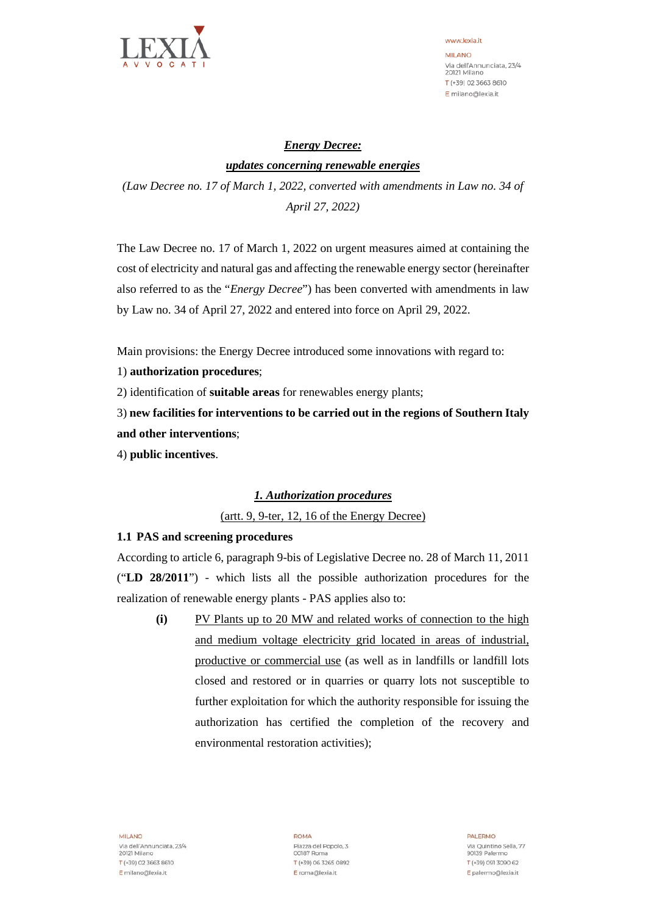

www.lexia.it **MILANO** Via dell'Annunciata, 23/4 20121 Milano T (+39) 02 3663 8610 E milano@lexia.it

# *Energy Decree: updates concerning renewable energies*

*(Law Decree no. 17 of March 1, 2022, converted with amendments in Law no. 34 of April 27, 2022)*

The Law Decree no. 17 of March 1, 2022 on urgent measures aimed at containing the cost of electricity and natural gas and affecting the renewable energy sector (hereinafter also referred to as the "*Energy Decree*") has been converted with amendments in law by Law no. 34 of April 27, 2022 and entered into force on April 29, 2022.

Main provisions: the Energy Decree introduced some innovations with regard to:

1) **authorization procedures**;

2) identification of **suitable areas** for renewables energy plants;

3) **new facilities for interventions to be carried out in the regions of Southern Italy and other interventions**;

4) **public incentives**.

## *1. Authorization procedures*

(artt. 9, 9-ter, 12, 16 of the Energy Decree)

#### **1.1 PAS and screening procedures**

According to article 6, paragraph 9-bis of Legislative Decree no. 28 of March 11, 2011 ("**LD 28/2011**") - which lists all the possible authorization procedures for the realization of renewable energy plants - PAS applies also to:

**(i)** PV Plants up to 20 MW and related works of connection to the high and medium voltage electricity grid located in areas of industrial, productive or commercial use (as well as in landfills or landfill lots closed and restored or in quarries or quarry lots not susceptible to further exploitation for which the authority responsible for issuing the authorization has certified the completion of the recovery and environmental restoration activities);

**MILANO** Via dell'Annunciata, 23/4 20121 Milano T (+39) 02 3663 8610 E milano@lexia.it

ROMA Piazza del Popolo, 3 00187 Roma T (+39) 06 3265 0892 E roma@lexia.it

PALERMO Via Quintino Sella, 77 90139 Palermo T (+39) 091 3090 62 E palermo@lexia.it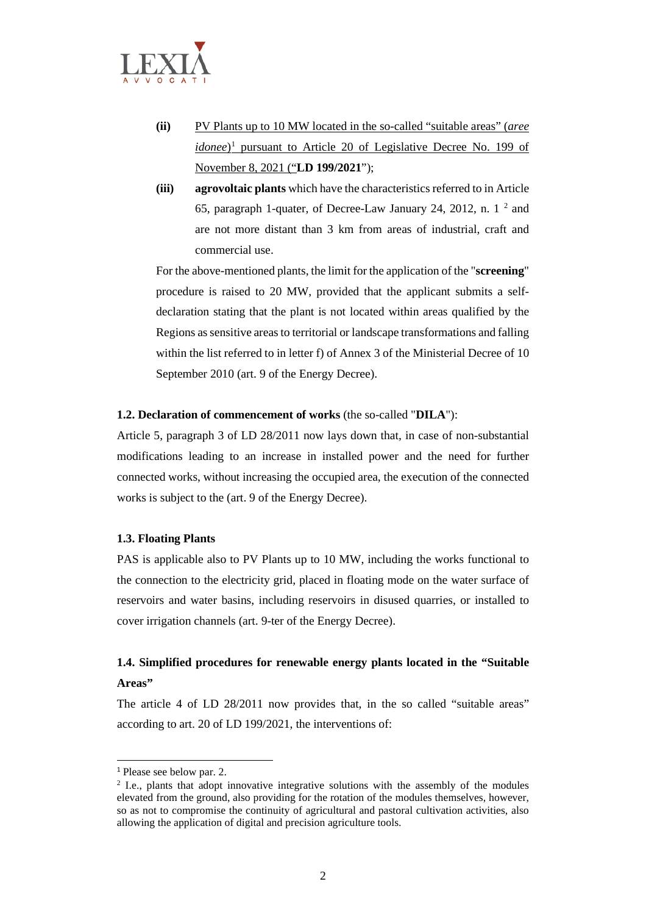

- **(ii)** PV Plants up to 10 MW located in the so-called "suitable areas" (*aree idonee*<sup>[1](#page-1-0)</sup> pursuant to Article 20 of Legislative Decree No. 199 of November 8, 2021 ("**LD 199/2021**");
- **(iii) agrovoltaic plants** which have the characteristics referred to in Article 65, paragraph 1-quater, of Decree-Law January 24, 2012, n. 1 [2](#page-1-1) and are not more distant than 3 km from areas of industrial, craft and commercial use.

For the above-mentioned plants, the limit for the application of the "**screening**" procedure is raised to 20 MW, provided that the applicant submits a selfdeclaration stating that the plant is not located within areas qualified by the Regions as sensitive areas to territorial or landscape transformations and falling within the list referred to in letter f) of Annex 3 of the Ministerial Decree of 10 September 2010 (art. 9 of the Energy Decree).

#### **1.2. Declaration of commencement of works** (the so-called "**DILA**"):

Article 5, paragraph 3 of LD 28/2011 now lays down that, in case of non-substantial modifications leading to an increase in installed power and the need for further connected works, without increasing the occupied area, the execution of the connected works is subject to the (art. 9 of the Energy Decree).

#### **1.3. Floating Plants**

PAS is applicable also to PV Plants up to 10 MW, including the works functional to the connection to the electricity grid, placed in floating mode on the water surface of reservoirs and water basins, including reservoirs in disused quarries, or installed to cover irrigation channels (art. 9-ter of the Energy Decree).

## **1.4. Simplified procedures for renewable energy plants located in the "Suitable Areas"**

The article 4 of LD 28/2011 now provides that, in the so called "suitable areas" according to art. 20 of LD 199/2021, the interventions of:

<span id="page-1-0"></span><sup>1</sup> Please see below par. 2.

<span id="page-1-1"></span><sup>2</sup> I.e., plants that adopt innovative integrative solutions with the assembly of the modules elevated from the ground, also providing for the rotation of the modules themselves, however, so as not to compromise the continuity of agricultural and pastoral cultivation activities, also allowing the application of digital and precision agriculture tools.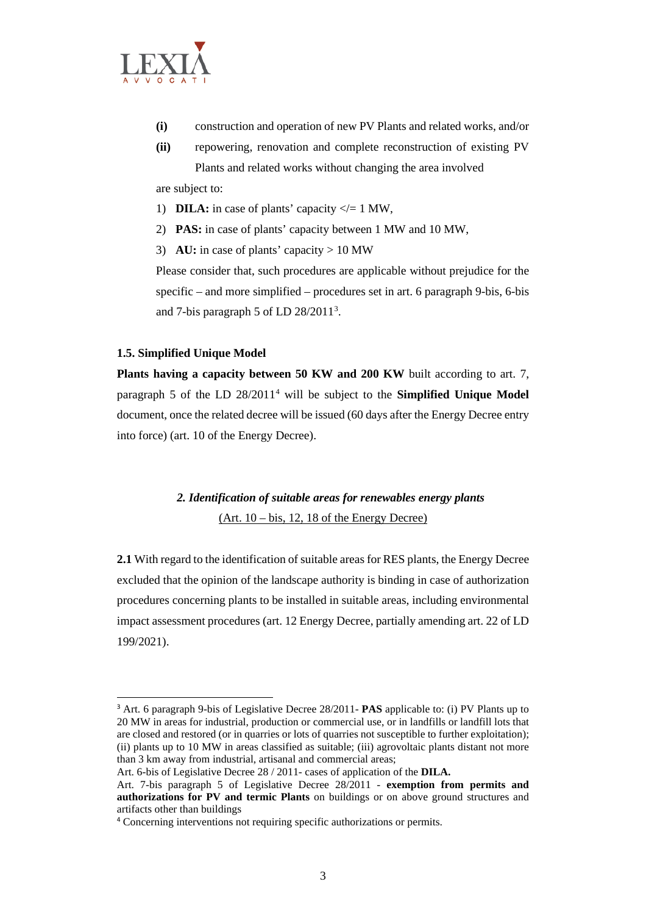

- **(i)** construction and operation of new PV Plants and related works, and/or
- **(ii)** repowering, renovation and complete reconstruction of existing PV Plants and related works without changing the area involved

are subject to:

- 1) **DILA:** in case of plants' capacity  $\lt$  = 1 MW,
- 2) **PAS:** in case of plants' capacity between 1 MW and 10 MW,
- 3) **AU:** in case of plants' capacity > 10 MW

Please consider that, such procedures are applicable without prejudice for the specific – and more simplified – procedures set in art. 6 paragraph 9-bis, 6-bis and 7-bis paragraph 5 of LD  $28/2011<sup>3</sup>$  $28/2011<sup>3</sup>$  $28/2011<sup>3</sup>$ .

#### **1.5. Simplified Unique Model**

**Plants having a capacity between 50 KW and 200 KW** built according to art. 7, paragraph 5 of the LD 28/2011[4](#page-2-1) will be subject to the **Simplified Unique Model** document, once the related decree will be issued (60 days after the Energy Decree entry into force) (art. 10 of the Energy Decree).

# *2. Identification of suitable areas for renewables energy plants*  $(Art. 10 - bis, 12, 18$  of the Energy Decree)

**2.1** With regard to the identification of suitable areas for RES plants, the Energy Decree excluded that the opinion of the landscape authority is binding in case of authorization procedures concerning plants to be installed in suitable areas, including environmental impact assessment procedures (art. 12 Energy Decree, partially amending art. 22 of LD 199/2021).

Art. 6-bis of Legislative Decree 28 / 2011- cases of application of the **DILA.**

<span id="page-2-0"></span><sup>3</sup> Art. 6 paragraph 9-bis of Legislative Decree 28/2011- **PAS** applicable to: (i) PV Plants up to 20 MW in areas for industrial, production or commercial use, or in landfills or landfill lots that are closed and restored (or in quarries or lots of quarries not susceptible to further exploitation); (ii) plants up to 10 MW in areas classified as suitable; (iii) agrovoltaic plants distant not more than 3 km away from industrial, artisanal and commercial areas;

Art. 7-bis paragraph 5 of Legislative Decree 28/2011 - **exemption from permits and authorizations for PV and termic Plants** on buildings or on above ground structures and artifacts other than buildings

<span id="page-2-1"></span><sup>4</sup> Concerning interventions not requiring specific authorizations or permits.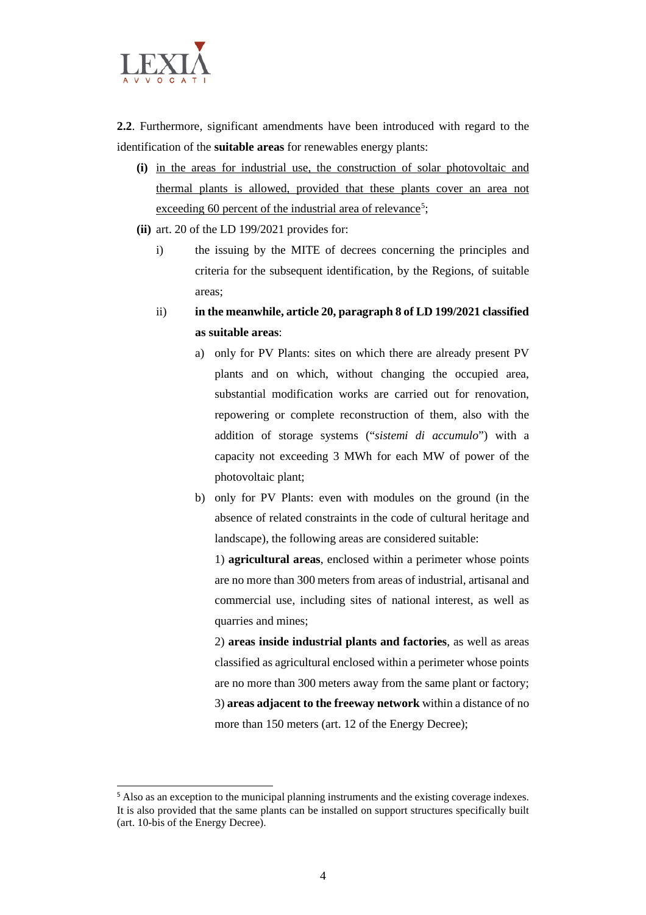

**2.2**. Furthermore, significant amendments have been introduced with regard to the identification of the **suitable areas** for renewables energy plants:

- **(i)** in the areas for industrial use, the construction of solar photovoltaic and thermal plants is allowed, provided that these plants cover an area not exceeding 60 percent of the industrial area of relevance<sup>[5](#page-3-0)</sup>;
- **(ii)** art. 20 of the LD 199/2021 provides for:
	- i) the issuing by the MITE of decrees concerning the principles and criteria for the subsequent identification, by the Regions, of suitable areas;
	- ii) **in the meanwhile, article 20, paragraph 8 of LD 199/2021 classified as suitable areas**:
		- a) only for PV Plants: sites on which there are already present PV plants and on which, without changing the occupied area, substantial modification works are carried out for renovation, repowering or complete reconstruction of them, also with the addition of storage systems ("*sistemi di accumulo*") with a capacity not exceeding 3 MWh for each MW of power of the photovoltaic plant;
		- b) only for PV Plants: even with modules on the ground (in the absence of related constraints in the code of cultural heritage and landscape), the following areas are considered suitable:

1) **agricultural areas**, enclosed within a perimeter whose points are no more than 300 meters from areas of industrial, artisanal and commercial use, including sites of national interest, as well as quarries and mines;

2) **areas inside industrial plants and factories**, as well as areas classified as agricultural enclosed within a perimeter whose points are no more than 300 meters away from the same plant or factory; 3) **areas adjacent to the freeway network** within a distance of no more than 150 meters (art. 12 of the Energy Decree);

<span id="page-3-0"></span><sup>&</sup>lt;sup>5</sup> Also as an exception to the municipal planning instruments and the existing coverage indexes. It is also provided that the same plants can be installed on support structures specifically built (art. 10-bis of the Energy Decree).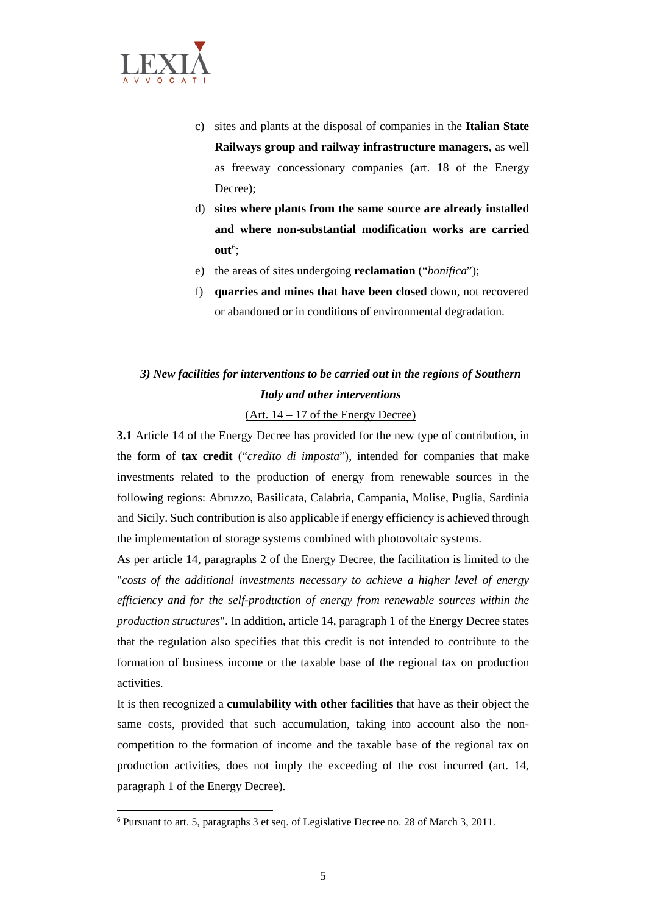

- c) sites and plants at the disposal of companies in the **Italian State Railways group and railway infrastructure managers**, as well as freeway concessionary companies (art. 18 of the Energy Decree);
- d) **sites where plants from the same source are already installed and where non-substantial modification works are carried out**[6](#page-4-0) ;
- e) the areas of sites undergoing **reclamation** ("*bonifica*");
- f) **quarries and mines that have been closed** down, not recovered or abandoned or in conditions of environmental degradation.

# *3) New facilities for interventions to be carried out in the regions of Southern Italy and other interventions*

(Art. 14 – 17 of the Energy Decree)

**3.1** Article 14 of the Energy Decree has provided for the new type of contribution, in the form of **tax credit** ("*credito di imposta*"), intended for companies that make investments related to the production of energy from renewable sources in the following regions: Abruzzo, Basilicata, Calabria, Campania, Molise, Puglia, Sardinia and Sicily. Such contribution is also applicable if energy efficiency is achieved through the implementation of storage systems combined with photovoltaic systems.

As per article 14, paragraphs 2 of the Energy Decree, the facilitation is limited to the "*costs of the additional investments necessary to achieve a higher level of energy efficiency and for the self-production of energy from renewable sources within the production structures*". In addition, article 14, paragraph 1 of the Energy Decree states that the regulation also specifies that this credit is not intended to contribute to the formation of business income or the taxable base of the regional tax on production activities.

It is then recognized a **cumulability with other facilities** that have as their object the same costs, provided that such accumulation, taking into account also the noncompetition to the formation of income and the taxable base of the regional tax on production activities, does not imply the exceeding of the cost incurred (art. 14, paragraph 1 of the Energy Decree).

<span id="page-4-0"></span><sup>6</sup> Pursuant to art. 5, paragraphs 3 et seq. of Legislative Decree no. 28 of March 3, 2011.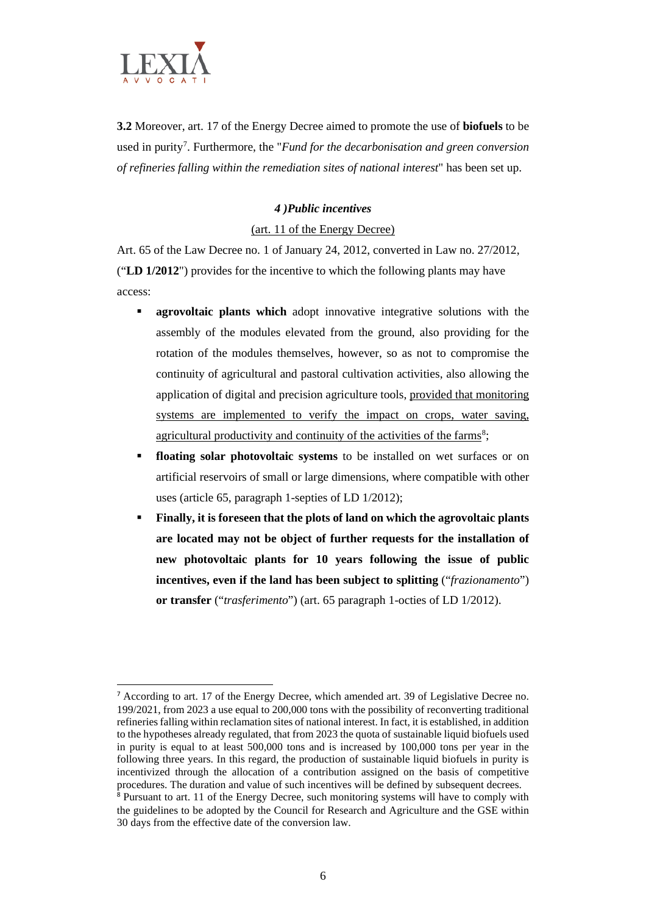

**3.2** Moreover, art. 17 of the Energy Decree aimed to promote the use of **biofuels** to be used in purity<sup>[7](#page-5-0)</sup>. Furthermore, the "*Fund for the decarbonisation and green conversion of refineries falling within the remediation sites of national interest*" has been set up.

### *4 )Public incentives*

## (art. 11 of the Energy Decree)

Art. 65 of the Law Decree no. 1 of January 24, 2012, converted in Law no. 27/2012, ("**LD 1/2012**") provides for the incentive to which the following plants may have access:

- **agrovoltaic plants which** adopt innovative integrative solutions with the assembly of the modules elevated from the ground, also providing for the rotation of the modules themselves, however, so as not to compromise the continuity of agricultural and pastoral cultivation activities, also allowing the application of digital and precision agriculture tools, provided that monitoring systems are implemented to verify the impact on crops, water saving, agricultural productivity and continuity of the activities of the farms<sup>[8](#page-5-1)</sup>;
- **floating solar photovoltaic systems** to be installed on wet surfaces or on artificial reservoirs of small or large dimensions, where compatible with other uses (article 65, paragraph 1-septies of LD 1/2012);
- **Finally, it is foreseen that the plots of land on which the agrovoltaic plants are located may not be object of further requests for the installation of new photovoltaic plants for 10 years following the issue of public incentives, even if the land has been subject to splitting** ("*frazionamento*") **or transfer** ("*trasferimento*") (art. 65 paragraph 1-octies of LD 1/2012).

<span id="page-5-0"></span><sup>7</sup> According to art. 17 of the Energy Decree, which amended art. 39 of Legislative Decree no. 199/2021, from 2023 a use equal to 200,000 tons with the possibility of reconverting traditional refineries falling within reclamation sites of national interest. In fact, it is established, in addition to the hypotheses already regulated, that from 2023 the quota of sustainable liquid biofuels used in purity is equal to at least 500,000 tons and is increased by 100,000 tons per year in the following three years. In this regard, the production of sustainable liquid biofuels in purity is incentivized through the allocation of a contribution assigned on the basis of competitive procedures. The duration and value of such incentives will be defined by subsequent decrees.

<span id="page-5-1"></span><sup>8</sup> Pursuant to art. 11 of the Energy Decree, such monitoring systems will have to comply with the guidelines to be adopted by the Council for Research and Agriculture and the GSE within 30 days from the effective date of the conversion law.